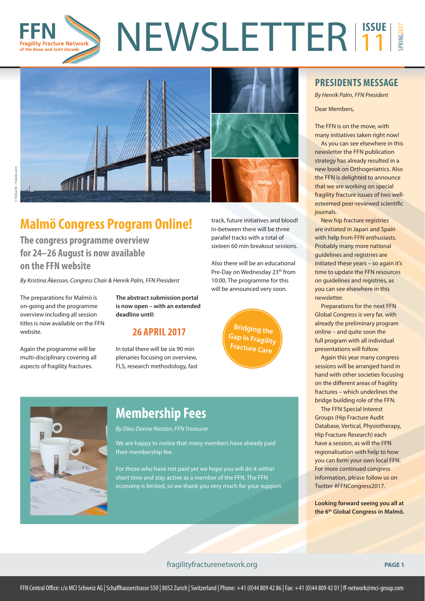

track, future initiatives and blood! In-between there will be three parallel tracks with a total of sixteen 60 min breakout sessions.

Also there will be an educational Pre-Day on Wednesday 23<sup>th</sup> from 10:00. The programme for this will be announced very soon.

> **Bridging the Gap in Fragility Fracture Care**



### **Malmö Congress Program Online!**

**The congress programme overview for 24–26 August is now available on the FFN website**

By Kristina Åkesson, Congress Chair & Henrik Palm, FFN President

The preparations for Malmö is on-going and the programme overview including all session titles is now available on the FFN website.

Again the programme will be multi-disciplinary covering all aspects of fragility fractures.

**The abstract submission portal is now open – with an extended deadline until:**

#### **26 APRIL 2017**

In total there will be six 90 min plenaries focusing on overview, FLS, research methodology, fast



### **Membership Fees**

By Dieu Donne Niesten, FFN Treasurer

We are happy to notice that many members have already paid their membership fee.

For those who have not paid yet we hope you will do it within short time and stay active as a member of the FFN. The FFN economy is limited, so we thank you very much for your support.

#### **PRESIDENTS MESSAGE**

By Henrik Palm, FFN President

Dear Members,

The FFN is on the move, with many initiatives taken right now!

As you can see elsewhere in this newsletter the FFN publication strategy has already resulted in a new book on Orthogeriatrics. Also the FFN is delighted to announce that we are working on special fragility fracture issues of two wellesteemed peer-reviewed scientific journals.

New hip fracture registries are initiated in Japan and Spain with help from FFN enthusiasts. Probably many more national guidelines and registries are initiated these years – so again it's time to update the FFN resources on guidelines and registries, as you can see elsewhere in this newsletter.

Preparations for the next FFN Global Congress is very far, with already the preliminary program online – and quite soon the full program with all individual presentations will follow.

Again this year many congress sessions will be arranged hand in hand with other societies focusing on the different areas of fragility fractures – which underlines the bridge building role of the FFN.

The FFN Special Interest Groups (Hip Fracture Audit Database, Vertical, Physiotherapy, Hip Fracture Research) each have a session, as will the FFN regionalisation with help to how you can form your own local FFN. For more continued congress information, please follow us on Twitter #FFNCongress2017.

**Looking forward seeing you all at the 6th Global Congress in Malmö.**

#### fragilityfracturenetwork.org **PAGE 1**